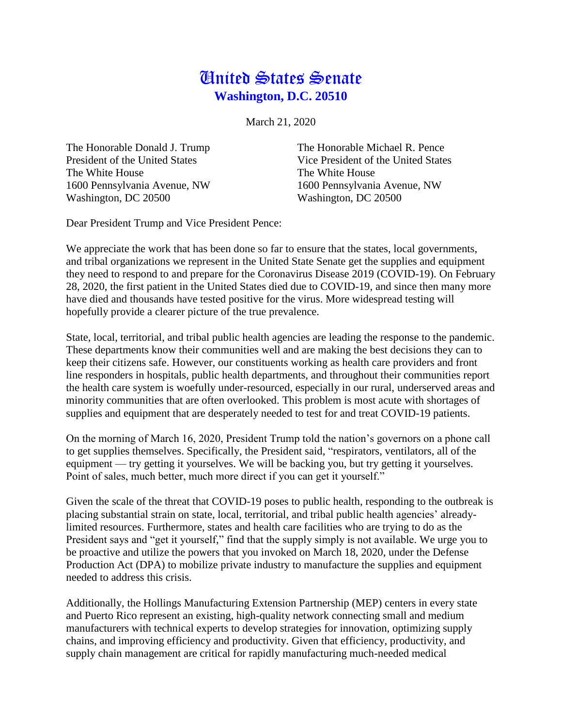## United States Senate **Washington, D.C. 20510**

March 21, 2020

The White House The White House 1600 Pennsylvania Avenue, NW 1600 Pennsylvania Avenue, NW Washington, DC 20500 Washington, DC 20500

The Honorable Donald J. Trump The Honorable Michael R. Pence President of the United States Vice President of the United States

Dear President Trump and Vice President Pence:

We appreciate the work that has been done so far to ensure that the states, local governments, and tribal organizations we represent in the United State Senate get the supplies and equipment they need to respond to and prepare for the Coronavirus Disease 2019 (COVID-19). On February 28, 2020, the first patient in the United States died due to COVID-19, and since then many more have died and thousands have tested positive for the virus. More widespread testing will hopefully provide a clearer picture of the true prevalence.

State, local, territorial, and tribal public health agencies are leading the response to the pandemic. These departments know their communities well and are making the best decisions they can to keep their citizens safe. However, our constituents working as health care providers and front line responders in hospitals, public health departments, and throughout their communities report the health care system is woefully under-resourced, especially in our rural, underserved areas and minority communities that are often overlooked. This problem is most acute with shortages of supplies and equipment that are desperately needed to test for and treat COVID-19 patients.

On the morning of March 16, 2020, President Trump told the nation's governors on a phone call to get supplies themselves. Specifically, the President said, "respirators, ventilators, all of the equipment — try getting it yourselves. We will be backing you, but try getting it yourselves. Point of sales, much better, much more direct if you can get it yourself."

Given the scale of the threat that COVID-19 poses to public health, responding to the outbreak is placing substantial strain on state, local, territorial, and tribal public health agencies' alreadylimited resources. Furthermore, states and health care facilities who are trying to do as the President says and "get it yourself," find that the supply simply is not available. We urge you to be proactive and utilize the powers that you invoked on March 18, 2020, under the Defense Production Act (DPA) to mobilize private industry to manufacture the supplies and equipment needed to address this crisis.

Additionally, the Hollings Manufacturing Extension Partnership (MEP) centers in every state and Puerto Rico represent an existing, high-quality network connecting small and medium manufacturers with technical experts to develop strategies for innovation, optimizing supply chains, and improving efficiency and productivity. Given that efficiency, productivity, and supply chain management are critical for rapidly manufacturing much-needed medical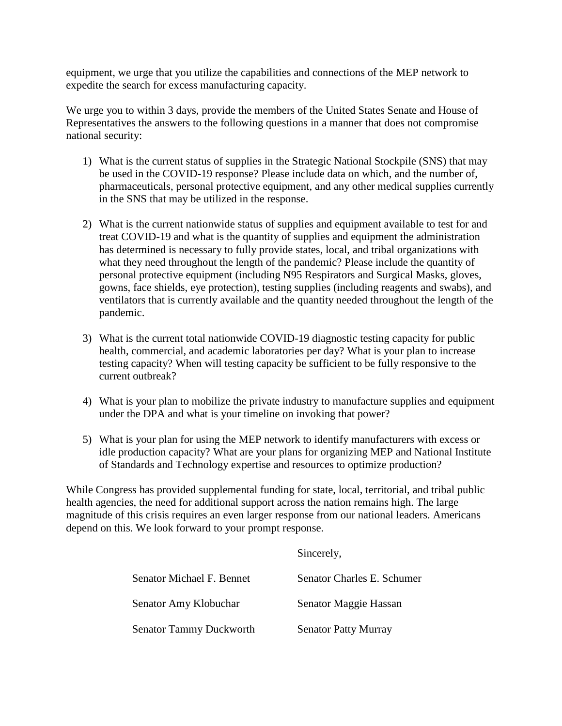equipment, we urge that you utilize the capabilities and connections of the MEP network to expedite the search for excess manufacturing capacity.

We urge you to within 3 days, provide the members of the United States Senate and House of Representatives the answers to the following questions in a manner that does not compromise national security:

- 1) What is the current status of supplies in the Strategic National Stockpile (SNS) that may be used in the COVID-19 response? Please include data on which, and the number of, pharmaceuticals, personal protective equipment, and any other medical supplies currently in the SNS that may be utilized in the response.
- 2) What is the current nationwide status of supplies and equipment available to test for and treat COVID-19 and what is the quantity of supplies and equipment the administration has determined is necessary to fully provide states, local, and tribal organizations with what they need throughout the length of the pandemic? Please include the quantity of personal protective equipment (including N95 Respirators and Surgical Masks, gloves, gowns, face shields, eye protection), testing supplies (including reagents and swabs), and ventilators that is currently available and the quantity needed throughout the length of the pandemic.
- 3) What is the current total nationwide COVID-19 diagnostic testing capacity for public health, commercial, and academic laboratories per day? What is your plan to increase testing capacity? When will testing capacity be sufficient to be fully responsive to the current outbreak?
- 4) What is your plan to mobilize the private industry to manufacture supplies and equipment under the DPA and what is your timeline on invoking that power?
- 5) What is your plan for using the MEP network to identify manufacturers with excess or idle production capacity? What are your plans for organizing MEP and National Institute of Standards and Technology expertise and resources to optimize production?

While Congress has provided supplemental funding for state, local, territorial, and tribal public health agencies, the need for additional support across the nation remains high. The large magnitude of this crisis requires an even larger response from our national leaders. Americans depend on this. We look forward to your prompt response.

Sincerely,

| Senator Michael F. Bennet      | Senator Charles E. Schumer  |
|--------------------------------|-----------------------------|
| Senator Amy Klobuchar          | Senator Maggie Hassan       |
| <b>Senator Tammy Duckworth</b> | <b>Senator Patty Murray</b> |